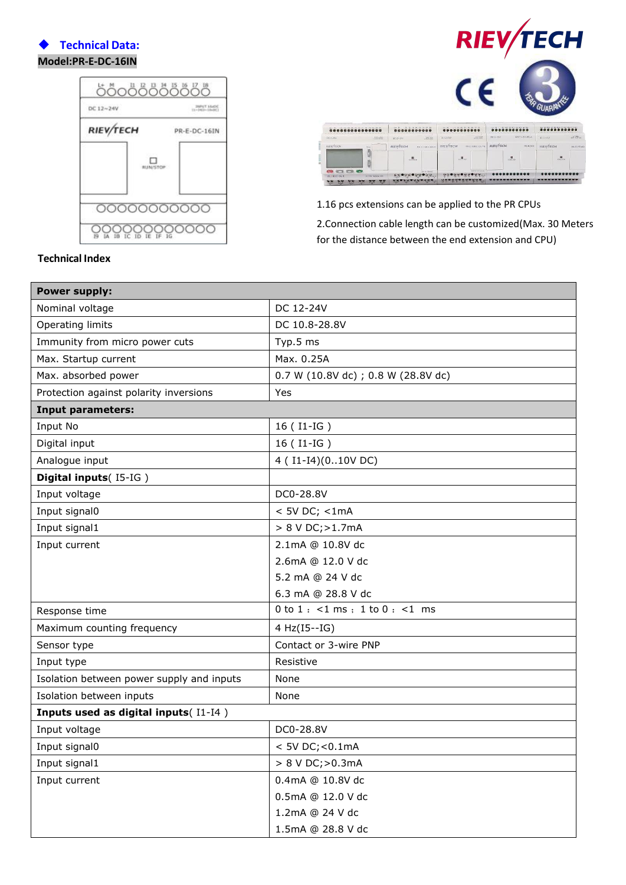## **Technical Data: Model:PR-E-DC-16IN**





1.16 pcs extensions can be applied to the PR CPUs 2.Connection cable length can be customized(Max. 30 Meters for the distance between the end extension and CPU)

| <b>Power supply:</b>                      |                                      |
|-------------------------------------------|--------------------------------------|
| Nominal voltage                           | DC 12-24V                            |
| <b>Operating limits</b>                   | DC 10.8-28.8V                        |
| Immunity from micro power cuts            | Typ.5 ms                             |
| Max. Startup current                      | Max. 0.25A                           |
| Max. absorbed power                       | 0.7 W (10.8V dc) ; 0.8 W (28.8V dc)  |
| Protection against polarity inversions    | Yes                                  |
| <b>Input parameters:</b>                  |                                      |
| Input No                                  | 16 (I1-IG)                           |
| Digital input                             | 16 (I1-IG)                           |
| Analogue input                            | 4 (I1-I4)(010V DC)                   |
| Digital inputs(I5-IG)                     |                                      |
| Input voltage                             | DC0-28.8V                            |
| Input signal0                             | $<$ 5V DC; $<$ 1mA                   |
| Input signal1                             | > 8 V DC; > 1.7mA                    |
| Input current                             | 2.1mA @ 10.8V dc                     |
|                                           | 2.6mA @ 12.0 V dc                    |
|                                           | 5.2 mA @ 24 V dc                     |
|                                           | 6.3 mA @ 28.8 V dc                   |
| Response time                             | $0$ to $1:$ <1 ms; $1$ to $0:$ <1 ms |
| Maximum counting frequency                | 4 Hz(I5--IG)                         |
| Sensor type                               | Contact or 3-wire PNP                |
| Input type                                | Resistive                            |
| Isolation between power supply and inputs | None                                 |
| Isolation between inputs                  | None                                 |
| Inputs used as digital inputs(I1-I4)      |                                      |
| Input voltage                             | DC0-28.8V                            |
| Input signal0                             | < 5V DC; < 0.1mA                     |
| Input signal1                             | > 8 V DC; > 0.3mA                    |
| Input current                             | 0.4mA @ 10.8V dc                     |
|                                           | 0.5mA @ 12.0 V dc                    |
|                                           | 1.2mA @ 24 V dc                      |
|                                           | 1.5mA @ 28.8 V dc                    |

## **Technical Index**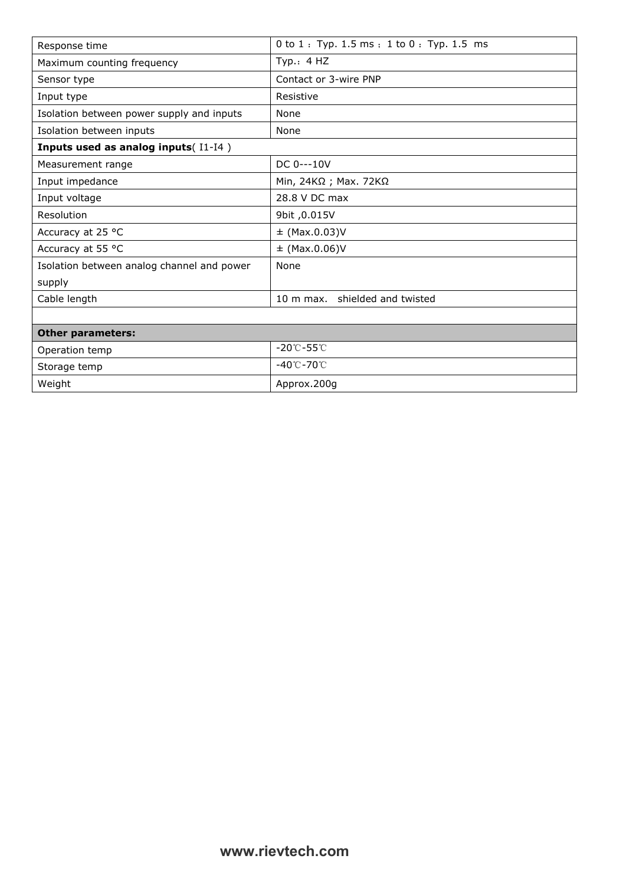| Response time                              | $0$ to $1:$ Typ. 1.5 ms; 1 to $0:$ Typ. 1.5 ms |
|--------------------------------------------|------------------------------------------------|
| Maximum counting frequency                 | Typ.: $4$ HZ                                   |
| Sensor type                                | Contact or 3-wire PNP                          |
| Input type                                 | Resistive                                      |
| Isolation between power supply and inputs  | None                                           |
| Isolation between inputs                   | None                                           |
| Inputs used as analog inputs(I1-I4)        |                                                |
| Measurement range                          | DC 0---10V                                     |
| Input impedance                            | Min, 24KΩ ; Max. 72KΩ                          |
| Input voltage                              | 28.8 V DC max                                  |
| Resolution                                 | 9bit, 0.015V                                   |
| Accuracy at 25 °C                          | $\pm$ (Max.0.03)V                              |
| Accuracy at 55 °C                          | $\pm$ (Max.0.06)V                              |
| Isolation between analog channel and power | None                                           |
| supply                                     |                                                |
| Cable length                               | 10 m max. shielded and twisted                 |
|                                            |                                                |
| <b>Other parameters:</b>                   |                                                |
| Operation temp                             | $-20^{\circ}$ C $-55^{\circ}$ C                |
| Storage temp                               | -40℃-70℃                                       |
| Weight                                     | Approx.200q                                    |